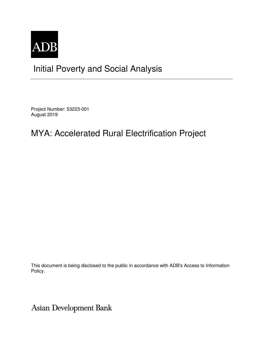

## Initial Poverty and Social Analysis

Project Number: 53223-001 August 2019

## MYA: Accelerated Rural Electrification Project

This document is being disclosed to the public in accordance with ADB's Access to Information Policy.

Asian Development Bank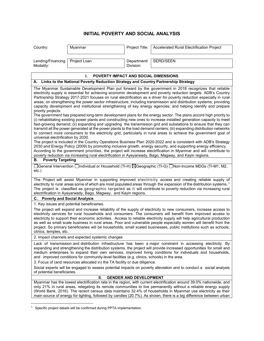## **INITIAL POVERTY AND SOCIAL ANALYSIS**

| Country:                                                                                                                                                                                                                                                                                                                                                                                                                                                                                                                                                                                                                                                                           | Myanmar                                          | Project Title:           | Accelerated Rural Electrification Project                                                                                                                                                                                                                                                                                                                                                                                                                                                                                                                                                                                                                                                                                                                                                                                                                                                                                                                                                                                                                                                                                                                                                                                                                                                                                                                                                                                                                                                                                                                                                                                                                                                                                                                                                                                                                                                             |  |  |
|------------------------------------------------------------------------------------------------------------------------------------------------------------------------------------------------------------------------------------------------------------------------------------------------------------------------------------------------------------------------------------------------------------------------------------------------------------------------------------------------------------------------------------------------------------------------------------------------------------------------------------------------------------------------------------|--------------------------------------------------|--------------------------|-------------------------------------------------------------------------------------------------------------------------------------------------------------------------------------------------------------------------------------------------------------------------------------------------------------------------------------------------------------------------------------------------------------------------------------------------------------------------------------------------------------------------------------------------------------------------------------------------------------------------------------------------------------------------------------------------------------------------------------------------------------------------------------------------------------------------------------------------------------------------------------------------------------------------------------------------------------------------------------------------------------------------------------------------------------------------------------------------------------------------------------------------------------------------------------------------------------------------------------------------------------------------------------------------------------------------------------------------------------------------------------------------------------------------------------------------------------------------------------------------------------------------------------------------------------------------------------------------------------------------------------------------------------------------------------------------------------------------------------------------------------------------------------------------------------------------------------------------------------------------------------------------------|--|--|
| Lending/Financing<br>Modality:                                                                                                                                                                                                                                                                                                                                                                                                                                                                                                                                                                                                                                                     | Project Loan                                     | Department/<br>Division: | SERD/SEEN                                                                                                                                                                                                                                                                                                                                                                                                                                                                                                                                                                                                                                                                                                                                                                                                                                                                                                                                                                                                                                                                                                                                                                                                                                                                                                                                                                                                                                                                                                                                                                                                                                                                                                                                                                                                                                                                                             |  |  |
|                                                                                                                                                                                                                                                                                                                                                                                                                                                                                                                                                                                                                                                                                    | L.<br>POVERTY IMPACT AND SOCIAL DIMENSIONS       |                          |                                                                                                                                                                                                                                                                                                                                                                                                                                                                                                                                                                                                                                                                                                                                                                                                                                                                                                                                                                                                                                                                                                                                                                                                                                                                                                                                                                                                                                                                                                                                                                                                                                                                                                                                                                                                                                                                                                       |  |  |
| A. Links to the National Poverty Reduction Strategy and Country Partnership Strategy                                                                                                                                                                                                                                                                                                                                                                                                                                                                                                                                                                                               |                                                  |                          |                                                                                                                                                                                                                                                                                                                                                                                                                                                                                                                                                                                                                                                                                                                                                                                                                                                                                                                                                                                                                                                                                                                                                                                                                                                                                                                                                                                                                                                                                                                                                                                                                                                                                                                                                                                                                                                                                                       |  |  |
| priority projects.<br>universal electrification by 2030.<br><b>Poverty Targeting</b><br>В.<br>etc.)                                                                                                                                                                                                                                                                                                                                                                                                                                                                                                                                                                                |                                                  |                          | The Myanmar Sustainable Development Plan put forward by the government in 2018 recognizes that reliable<br>electricity supply is essential for achieving economic development and poverty reduction targets. ADB's Country<br>Partnership Strategy 2017-2021 focuses on rural electrification as a driver for poverty reduction especially in rural<br>areas; on strengthening the power sector infrastructure, including transmission and distribution systems; providing<br>capacity development and institutional strengthening of key energy agencies; and helping identify and prepare<br>The government has prepared long-term development plans for the energy sector. The plans accord high priority to<br>(i) rehabilitating existing power plants and constructing new ones to increase installed generation capacity to meet<br>fast-growing demand; (ii) expanding and upgrading the transmission grid and substations to ensure that they can<br>transmit all the power generated at the power plants to the load demand centers; (iii) expanding distribution networks<br>to connect more consumers to the electricity grid, particularly in rural areas to achieve the government goal of<br>The project is included in the Country Operations Business Plan 2020-2022 and is consistent with ADB's Strategy<br>2030 and Energy Policy (2009) by promoting inclusive growth, energy security, and supporting energy efficiency.<br>According to the government priorities, the project will increase electrification in Myanmar and will contribute to<br>poverty reduction via increasing rural electrification in Ayeyarwady, Bago, Magway, and Kayin regions.<br>□General Intervention □Individual or Household (TI-H) ⊠Geographic (TI-G) □Non-Income MDGs (TI-M1, M2,<br>The Project will assist Myanmar in supporting improved electricity access and creating reliable supply of |  |  |
| electricity to rural areas some of which are most populated areas through the expansion of the distribution systems. <sup>1</sup><br>The project is classified as geographic targeted as it will contribute to poverty reduction via increasing rural<br>electrification in Ayeyarwady, Bago, Magway, and Kayin regions.                                                                                                                                                                                                                                                                                                                                                           |                                                  |                          |                                                                                                                                                                                                                                                                                                                                                                                                                                                                                                                                                                                                                                                                                                                                                                                                                                                                                                                                                                                                                                                                                                                                                                                                                                                                                                                                                                                                                                                                                                                                                                                                                                                                                                                                                                                                                                                                                                       |  |  |
| С.                                                                                                                                                                                                                                                                                                                                                                                                                                                                                                                                                                                                                                                                                 | <b>Poverty and Social Analysis</b>               |                          |                                                                                                                                                                                                                                                                                                                                                                                                                                                                                                                                                                                                                                                                                                                                                                                                                                                                                                                                                                                                                                                                                                                                                                                                                                                                                                                                                                                                                                                                                                                                                                                                                                                                                                                                                                                                                                                                                                       |  |  |
| 1. Key issues and potential beneficiaries.<br>The project will expand and increase reliability of the supply of electricity to new consumers, increase access to<br>electricity services for rural households and consumers. The consumers will benefit from improved access to<br>electricity to support their economic activities. Access to reliable electricity supply will help agricultural production<br>as well as small scale business in rural areas. Poor and vulnerable people especially women will benefit from the<br>project. So primary beneficiaries will be households, small scaled businesses, public institutions such as schools,<br>clinics, temples, etc. |                                                  |                          |                                                                                                                                                                                                                                                                                                                                                                                                                                                                                                                                                                                                                                                                                                                                                                                                                                                                                                                                                                                                                                                                                                                                                                                                                                                                                                                                                                                                                                                                                                                                                                                                                                                                                                                                                                                                                                                                                                       |  |  |
|                                                                                                                                                                                                                                                                                                                                                                                                                                                                                                                                                                                                                                                                                    | 2. Impact channels and expected systemic changes |                          |                                                                                                                                                                                                                                                                                                                                                                                                                                                                                                                                                                                                                                                                                                                                                                                                                                                                                                                                                                                                                                                                                                                                                                                                                                                                                                                                                                                                                                                                                                                                                                                                                                                                                                                                                                                                                                                                                                       |  |  |
| Lack of transmission and distribution infrastructure has been a major constraint in accessing electricity. By<br>expanding and strengthening the distribution systems, the project will provide increased opportunities for small and<br>medium enterprises to expand their own services, improved living conditions for individuals and households,<br>and improved conditions for community-level facilities (e.g. clinics, schools) in the area.                                                                                                                                                                                                                                |                                                  |                          |                                                                                                                                                                                                                                                                                                                                                                                                                                                                                                                                                                                                                                                                                                                                                                                                                                                                                                                                                                                                                                                                                                                                                                                                                                                                                                                                                                                                                                                                                                                                                                                                                                                                                                                                                                                                                                                                                                       |  |  |
| 3. Focus of (and resources allocated in) the TA facility or due diligence.                                                                                                                                                                                                                                                                                                                                                                                                                                                                                                                                                                                                         |                                                  |                          |                                                                                                                                                                                                                                                                                                                                                                                                                                                                                                                                                                                                                                                                                                                                                                                                                                                                                                                                                                                                                                                                                                                                                                                                                                                                                                                                                                                                                                                                                                                                                                                                                                                                                                                                                                                                                                                                                                       |  |  |
| Social experts will be engaged to assess potential impacts on poverty alleviation and to conduct a social analysis<br>of potential beneficiaries.                                                                                                                                                                                                                                                                                                                                                                                                                                                                                                                                  |                                                  |                          |                                                                                                                                                                                                                                                                                                                                                                                                                                                                                                                                                                                                                                                                                                                                                                                                                                                                                                                                                                                                                                                                                                                                                                                                                                                                                                                                                                                                                                                                                                                                                                                                                                                                                                                                                                                                                                                                                                       |  |  |
| <b>GENDER AND DEVELOPMENT</b><br>Ш.                                                                                                                                                                                                                                                                                                                                                                                                                                                                                                                                                                                                                                                |                                                  |                          |                                                                                                                                                                                                                                                                                                                                                                                                                                                                                                                                                                                                                                                                                                                                                                                                                                                                                                                                                                                                                                                                                                                                                                                                                                                                                                                                                                                                                                                                                                                                                                                                                                                                                                                                                                                                                                                                                                       |  |  |
| Myanmar has the lowest electrification rate in the region, with current electrification around 39.0% nationwide, and<br>only 21% in rural areas, relegating its remote communities to live permanently without a reliable energy supply<br>(World Bank, 2016). The recent census data maintains 32.4% of households in Myanmar use electricity as their<br>main source of energy for lighting, followed by candles (20.7%). As shown, there is a big difference between urban                                                                                                                                                                                                      |                                                  |                          |                                                                                                                                                                                                                                                                                                                                                                                                                                                                                                                                                                                                                                                                                                                                                                                                                                                                                                                                                                                                                                                                                                                                                                                                                                                                                                                                                                                                                                                                                                                                                                                                                                                                                                                                                                                                                                                                                                       |  |  |

 $\overline{a}$  $1$  Specific project details will be confirmed during PPTA implementation.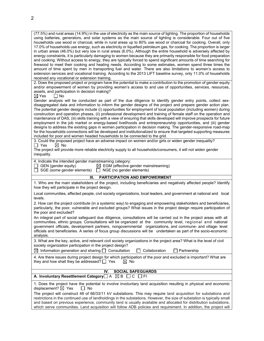(77.5%) and rural areas (14.9%) in the use of electricity as the main source of lighting. The proportion of households using batteries, generators, and solar systems as the main source of lighting is considerable. Four out of five households use wood or charcoal, while in rural areas up to 80% use wood or charcoal for cooking. Overall, only 17.0% of households use energy, such as electricity or liquefied petroleum gas, for cooking. The proportion is larger in urban areas (46.0%) but very low in rural areas (6.0%). Although the entire household is adversely affected by energy constraints, it is particularly damaging to women because they are primarily responsible for food preparation and cooking. Without access to energy, they are typically forced to spend significant amounts of time searching for firewood to meet their cooking and heating needs. According to some estimates, women spend three times the amount of time spent by men in transporting fuel and water. There are also limitations to women's access to extension services and vocational training. According to the 2013 LIFT baseline survey, only 11.0% of households received any vocational or extension training.

2. Does the proposed project or program have the potential to make a contribution to the promotion of gender equity and/or empowerment of women by providing women's access to and use of opportunities, services, resources, assets, and participation in decision making?<br> $\boxtimes$  Yes  $\Box$  No

 $\Box$  No

Gender analysis will be conducted as part of the due diligence to identify gender entry points, collect sexdisaggregated data and information to inform the gender designs of the project and prepare gender action plan. The potential gender designs include (i) opportunities for employment of local population (including women) during construction and operation phases, (ii) professional development and training of female staff on the operation and maintenance of DAS, (iii) skills training with a view of ensuring that skills developed will improve prospects for future employment in the job market or energy-based livelihoods and entrepreneurship opportunities, and (iii) gender designs to address the existing gaps in women participation in decision making. The gender-responsive road-map for the households connections will be developed and institutionalized to ensure that targeted supporting measures included for poor and women headed households to be connected to the grid.

3. Could the proposed project have an adverse impact on women and/or girls or widen gender inequality?<br>  $\Box$  Yes  $\Box$  No  $\boxtimes$  No

The project will provide more reliable electricity supply to all households/consumers, it will not widen gender inequality.

4. Indicate the intended gender mainstreaming category:

| $\Box$ GEN (gender equity) | $\boxtimes$ EGM (effective gender mainstreaming) |
|----------------------------|--------------------------------------------------|
|----------------------------|--------------------------------------------------|

**A. Involuntary Resettlement Category** A **△B** C C FI

 $\Box$  SGE (some gender elements)  $\Box$  NGE (no gender elements)

| <b>PARTICIPATION AND EMPOWERMENT</b><br>III.                                                                                                                                                                                                                                                                                                                                                                                                                                    |
|---------------------------------------------------------------------------------------------------------------------------------------------------------------------------------------------------------------------------------------------------------------------------------------------------------------------------------------------------------------------------------------------------------------------------------------------------------------------------------|
| 1. Who are the main stakeholders of the project, including beneficiaries and negatively affected people? Identify<br>how they will participate in the project design.                                                                                                                                                                                                                                                                                                           |
| Local communities, affected people, civil society organizations, local leaders, and government at national and local<br>levels.                                                                                                                                                                                                                                                                                                                                                 |
| 2. How can the project contribute (in a systemic way) to engaging and empowering stakeholders and beneficiaries,<br>particularly, the poor, vulnerable and excluded groups? What issues in the project design require participation of<br>the poor and excluded?                                                                                                                                                                                                                |
| An integral part of social safeguard due diligence, consultations will be carried out in the project areas with all<br>communities, ethnic groups. Consultations will be organized at the community level, regional and national<br>government officials, development partners, nongovernmental organizations, and commune- and village-level<br>officials and beneficiaries. A series of focus group discussions will be undertaken as part of the socio-economic<br>analysis. |
| 3. What are the key, active, and relevant civil society organizations in the project area? What is the level of civil<br>society organization participation in the project design?                                                                                                                                                                                                                                                                                              |
| $\boxtimes$ Information generation and sharing $\Box$ Consultation<br>Collaboration<br>Partnership                                                                                                                                                                                                                                                                                                                                                                              |
| 4. Are there issues during project design for which participation of the poor and excluded is important? What are<br>they and how shall they be addressed? $\Box$ Yes<br>No<br>M                                                                                                                                                                                                                                                                                                |

1. Does the project have the potential to involve involuntary land acquisition resulting in physical and economic displacement?  $\boxtimes$  Yes  $\Box$  No

**IV. SOCIAL SAFEGUARDS**

The project will construct 48 of 66/33/11 kV substations. This may require land acquisition for substations and restrictions in the continued use of landholdings in the substations. However, the size of substation is typically small and based on previous experience, community land is usually available and allocated for distribution substations, which serve communities. Land acquisition will follow ADB policies and requirement. In addition, the project will